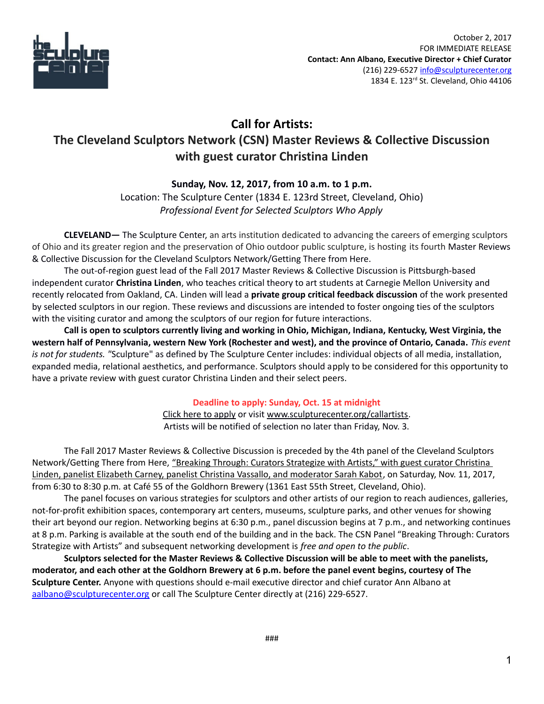

# **Call for Artists: The Cleveland Sculptors Network (CSN) Master Reviews & Collective Discussion with guest curator Christina Linden**

## **Sunday, Nov. 12, 2017, from 10 a.m. to 1 p.m.**

Location: The Sculpture Center (1834 E. 123rd Street, Cleveland, Ohio) *Professional Event for Selected Sculptors Who Apply*

**CLEVELAND—** The Sculpture Center, an arts institution dedicated to advancing the careers of emerging sculptors of Ohio and its greater region and the preservation of Ohio outdoor public sculpture, is hosting its fourth Master Reviews & Collective Discussion for the Cleveland Sculptors Network/Getting There from Here.

The out-of-region guest lead of the Fall 2017 Master Reviews & Collective Discussion is Pittsburgh-based independent curator **Christina Linden**, who teaches critical theory to art students at Carnegie Mellon University and recently relocated from Oakland, CA. Linden will lead a **private group critical feedback discussion** of the work presented by selected sculptors in our region. These reviews and discussions are intended to foster ongoing ties of the sculptors with the visiting curator and among the sculptors of our region for future interactions.

**Call is open to sculptors currently living and working in Ohio, Michigan, Indiana, Kentucky, West Virginia, the western half of Pennsylvania, western New York (Rochester and west), and the province of Ontario, Canada.** *This event is not for students. "*Sculpture" as defined by The Sculpture Center includes: individual objects of all media, installation, expanded media, relational aesthetics, and performance. Sculptors should apply to be considered for this opportunity to have a private review with guest curator Christina Linden and their select peers.

## **Deadline to apply: Sunday, Oct. 15 at midnight**

[Click here to apply](http://sculpturecenter.org/callartists/) or visit [www.sculpturecenter.org/callartists.](http://sculpturecenter.org/callartists/) Artists will be notified of selection no later than Friday, Nov. 3.

The Fall 2017 Master Reviews & Collective Discussion is preceded by the 4th panel of the Cleveland Sculptors Network/Getting There from Here, "Breaking Through: Curators Strategize with Artists," with guest curator Christina [Linden, panelist Elizabeth Carney, panelist Christina Vassallo, and moderator Sarah Kabot,](http://sculpturecenter.org/csnbreakingthroughpanel/) on Saturday, Nov. 11, 2017, from 6:30 to 8:30 p.m. at Café 55 of the Goldhorn Brewery (1361 East 55th Street, Cleveland, Ohio).

The panel focuses on various strategies for sculptors and other artists of our region to reach audiences, galleries, not-for-profit exhibition spaces, contemporary art centers, museums, sculpture parks, and other venues for showing their art beyond our region. Networking begins at 6:30 p.m., panel discussion begins at 7 p.m., and networking continues at 8 p.m. Parking is available at the south end of the building and in the back. The CSN Panel "Breaking Through: Curators Strategize with Artists" and subsequent networking development is *free and open to the public*.

**Sculptors selected for the Master Reviews & Collective Discussion will be able to meet with the panelists, moderator, and each other at the Goldhorn Brewery at 6 p.m. before the panel event begins, courtesy of The Sculpture Center.** Anyone with questions should e-mail executive director and chief curator Ann Albano at [aalbano@sculpturecenter.org](mailto:aalbano@sculpturecenter.org) or call The Sculpture Center directly at (216) 229-6527.